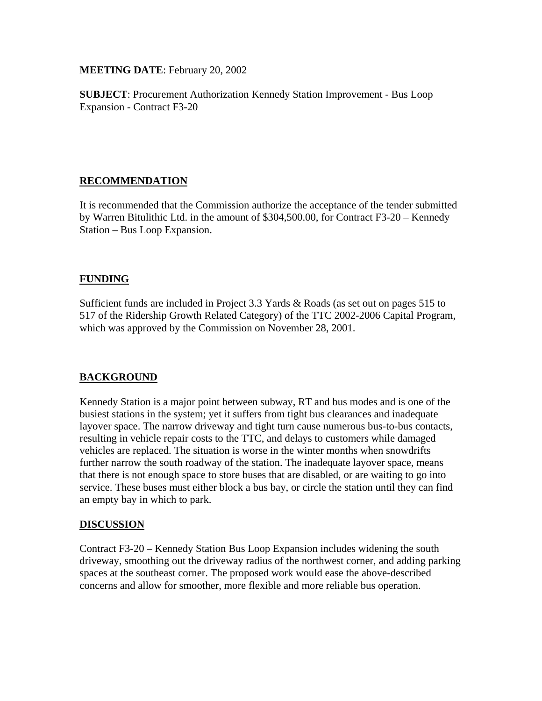**MEETING DATE**: February 20, 2002

**SUBJECT**: Procurement Authorization Kennedy Station Improvement - Bus Loop Expansion - Contract F3-20

## **RECOMMENDATION**

It is recommended that the Commission authorize the acceptance of the tender submitted by Warren Bitulithic Ltd. in the amount of \$304,500.00, for Contract F3-20 – Kennedy Station – Bus Loop Expansion.

## **FUNDING**

Sufficient funds are included in Project 3.3 Yards & Roads (as set out on pages 515 to 517 of the Ridership Growth Related Category) of the TTC 2002-2006 Capital Program, which was approved by the Commission on November 28, 2001.

## **BACKGROUND**

Kennedy Station is a major point between subway, RT and bus modes and is one of the busiest stations in the system; yet it suffers from tight bus clearances and inadequate layover space. The narrow driveway and tight turn cause numerous bus-to-bus contacts, resulting in vehicle repair costs to the TTC, and delays to customers while damaged vehicles are replaced. The situation is worse in the winter months when snowdrifts further narrow the south roadway of the station. The inadequate layover space, means that there is not enough space to store buses that are disabled, or are waiting to go into service. These buses must either block a bus bay, or circle the station until they can find an empty bay in which to park.

#### **DISCUSSION**

Contract F3-20 – Kennedy Station Bus Loop Expansion includes widening the south driveway, smoothing out the driveway radius of the northwest corner, and adding parking spaces at the southeast corner. The proposed work would ease the above-described concerns and allow for smoother, more flexible and more reliable bus operation.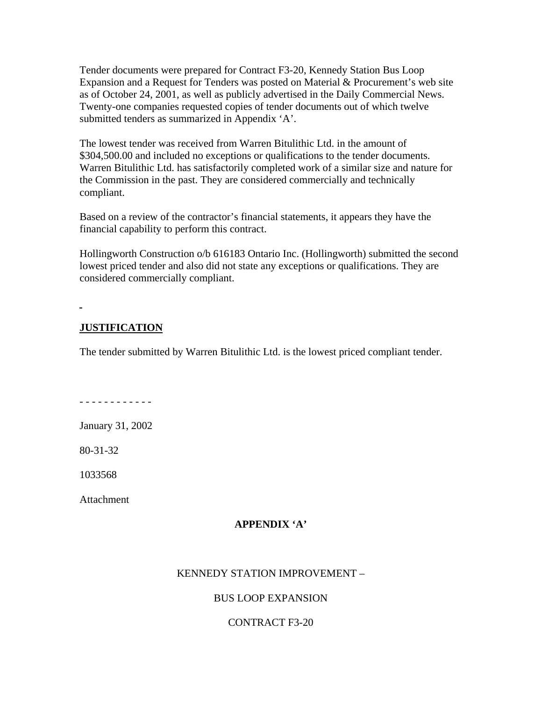Tender documents were prepared for Contract F3-20, Kennedy Station Bus Loop Expansion and a Request for Tenders was posted on Material & Procurement's web site as of October 24, 2001, as well as publicly advertised in the Daily Commercial News. Twenty-one companies requested copies of tender documents out of which twelve submitted tenders as summarized in Appendix 'A'.

The lowest tender was received from Warren Bitulithic Ltd. in the amount of \$304,500.00 and included no exceptions or qualifications to the tender documents. Warren Bitulithic Ltd. has satisfactorily completed work of a similar size and nature for the Commission in the past. They are considered commercially and technically compliant.

Based on a review of the contractor's financial statements, it appears they have the financial capability to perform this contract.

Hollingworth Construction o/b 616183 Ontario Inc. (Hollingworth) submitted the second lowest priced tender and also did not state any exceptions or qualifications. They are considered commercially compliant.

#### **JUSTIFICATION**

The tender submitted by Warren Bitulithic Ltd. is the lowest priced compliant tender.

- - - - - - - - - - - -

January 31, 2002

80-31-32

1033568

Attachment

#### **APPENDIX 'A'**

#### KENNEDY STATION IMPROVEMENT –

#### BUS LOOP EXPANSION

## CONTRACT F3-20